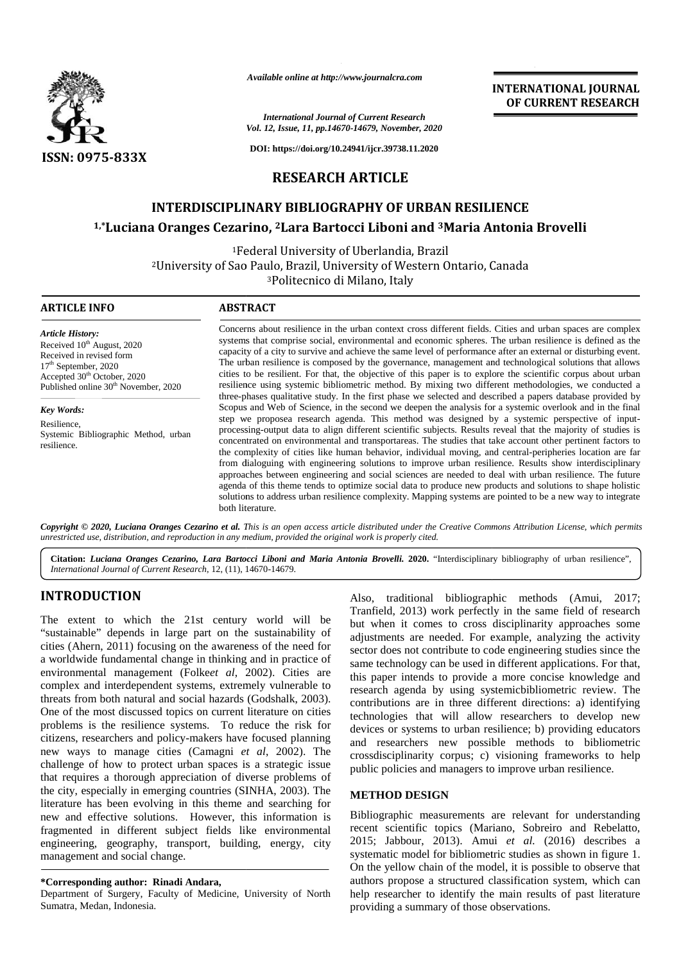

*Available online at http://www.journalcra.com*

# **RESEARCH ARTICLE**

# **INTERDISCIPLINARY BIBLIOGRAPHY OF URBAN RESILIENCE INTERDISCIPLINARY BIBLIOGRAPHY OF URBAN RESILIENCE**

## **1,\*Luciana Oranges Cezarino, <sup>2</sup>Lara Bartocci Liboni and <sup>3</sup>Maria Antonia Brovelli 2**

|                                                                                                                                                                                                                                                                                                                                                                                                                                                                                                                                                                                                                                                                                                                                                                                                                                                                                                                                                                                                                                                                                                                                 | Available online at http://www.journalcra.com                                                                                                                                                                                                                                                                                                                                                                                                                                                                                                                                                                                                                                                                                                                                             |                                                                                                        | <b>INTERNATIONAL JOURNAL</b><br>OF CURRENT RESEARCH                                                                                                                                                                                                                                                                                                                                                                                                                                                                                                                                                                                                                                                                                                                                                                                                                                                                                                                                                                                                                                         |
|---------------------------------------------------------------------------------------------------------------------------------------------------------------------------------------------------------------------------------------------------------------------------------------------------------------------------------------------------------------------------------------------------------------------------------------------------------------------------------------------------------------------------------------------------------------------------------------------------------------------------------------------------------------------------------------------------------------------------------------------------------------------------------------------------------------------------------------------------------------------------------------------------------------------------------------------------------------------------------------------------------------------------------------------------------------------------------------------------------------------------------|-------------------------------------------------------------------------------------------------------------------------------------------------------------------------------------------------------------------------------------------------------------------------------------------------------------------------------------------------------------------------------------------------------------------------------------------------------------------------------------------------------------------------------------------------------------------------------------------------------------------------------------------------------------------------------------------------------------------------------------------------------------------------------------------|--------------------------------------------------------------------------------------------------------|---------------------------------------------------------------------------------------------------------------------------------------------------------------------------------------------------------------------------------------------------------------------------------------------------------------------------------------------------------------------------------------------------------------------------------------------------------------------------------------------------------------------------------------------------------------------------------------------------------------------------------------------------------------------------------------------------------------------------------------------------------------------------------------------------------------------------------------------------------------------------------------------------------------------------------------------------------------------------------------------------------------------------------------------------------------------------------------------|
|                                                                                                                                                                                                                                                                                                                                                                                                                                                                                                                                                                                                                                                                                                                                                                                                                                                                                                                                                                                                                                                                                                                                 |                                                                                                                                                                                                                                                                                                                                                                                                                                                                                                                                                                                                                                                                                                                                                                                           | <b>International Journal of Current Research</b><br>Vol. 12, Issue, 11, pp.14670-14679, November, 2020 |                                                                                                                                                                                                                                                                                                                                                                                                                                                                                                                                                                                                                                                                                                                                                                                                                                                                                                                                                                                                                                                                                             |
| <b>ISSN: 0975-833X</b>                                                                                                                                                                                                                                                                                                                                                                                                                                                                                                                                                                                                                                                                                                                                                                                                                                                                                                                                                                                                                                                                                                          |                                                                                                                                                                                                                                                                                                                                                                                                                                                                                                                                                                                                                                                                                                                                                                                           | DOI: https://doi.org/10.24941/ijcr.39738.11.2020                                                       |                                                                                                                                                                                                                                                                                                                                                                                                                                                                                                                                                                                                                                                                                                                                                                                                                                                                                                                                                                                                                                                                                             |
|                                                                                                                                                                                                                                                                                                                                                                                                                                                                                                                                                                                                                                                                                                                                                                                                                                                                                                                                                                                                                                                                                                                                 | <b>RESEARCH ARTICLE</b>                                                                                                                                                                                                                                                                                                                                                                                                                                                                                                                                                                                                                                                                                                                                                                   |                                                                                                        |                                                                                                                                                                                                                                                                                                                                                                                                                                                                                                                                                                                                                                                                                                                                                                                                                                                                                                                                                                                                                                                                                             |
|                                                                                                                                                                                                                                                                                                                                                                                                                                                                                                                                                                                                                                                                                                                                                                                                                                                                                                                                                                                                                                                                                                                                 | <b>INTERDISCIPLINARY BIBLIOGRAPHY OF URBAN RESILIENCE</b>                                                                                                                                                                                                                                                                                                                                                                                                                                                                                                                                                                                                                                                                                                                                 |                                                                                                        |                                                                                                                                                                                                                                                                                                                                                                                                                                                                                                                                                                                                                                                                                                                                                                                                                                                                                                                                                                                                                                                                                             |
|                                                                                                                                                                                                                                                                                                                                                                                                                                                                                                                                                                                                                                                                                                                                                                                                                                                                                                                                                                                                                                                                                                                                 | <sup>1,*</sup> Luciana Oranges Cezarino, <sup>2</sup> Lara Bartocci Liboni and <sup>3</sup> Maria Antonia Brovelli                                                                                                                                                                                                                                                                                                                                                                                                                                                                                                                                                                                                                                                                        |                                                                                                        |                                                                                                                                                                                                                                                                                                                                                                                                                                                                                                                                                                                                                                                                                                                                                                                                                                                                                                                                                                                                                                                                                             |
|                                                                                                                                                                                                                                                                                                                                                                                                                                                                                                                                                                                                                                                                                                                                                                                                                                                                                                                                                                                                                                                                                                                                 | <sup>1</sup> Federal University of Uberlandia, Brazil<br><sup>2</sup> University of Sao Paulo, Brazil, University of Western Ontario, Canada<br><sup>3</sup> Politecnico di Milano, Italy                                                                                                                                                                                                                                                                                                                                                                                                                                                                                                                                                                                                 |                                                                                                        |                                                                                                                                                                                                                                                                                                                                                                                                                                                                                                                                                                                                                                                                                                                                                                                                                                                                                                                                                                                                                                                                                             |
| <b>ARTICLE INFO</b>                                                                                                                                                                                                                                                                                                                                                                                                                                                                                                                                                                                                                                                                                                                                                                                                                                                                                                                                                                                                                                                                                                             | <b>ABSTRACT</b>                                                                                                                                                                                                                                                                                                                                                                                                                                                                                                                                                                                                                                                                                                                                                                           |                                                                                                        |                                                                                                                                                                                                                                                                                                                                                                                                                                                                                                                                                                                                                                                                                                                                                                                                                                                                                                                                                                                                                                                                                             |
| <b>Article History:</b><br>Received 10 <sup>th</sup> August, 2020<br>Received in revised form<br>17 <sup>th</sup> September, 2020<br>Accepted 30 <sup>th</sup> October, 2020<br>Published online 30 <sup>th</sup> November, 2020                                                                                                                                                                                                                                                                                                                                                                                                                                                                                                                                                                                                                                                                                                                                                                                                                                                                                                | Concerns about resilience in the urban context cross different fields. Cities and urban spaces are complex<br>systems that comprise social, environmental and economic spheres. The urban resilience is defined as the<br>capacity of a city to survive and achieve the same level of performance after an external or disturbing event.<br>The urban resilience is composed by the governance, management and technological solutions that allows<br>cities to be resilient. For that, the objective of this paper is to explore the scientific corpus about urban<br>resilience using systemic bibliometric method. By mixing two different methodologies, we conducted a<br>three-phases qualitative study. In the first phase we selected and described a papers database provided by |                                                                                                        | Scopus and Web of Science, in the second we deepen the analysis for a systemic overlook and in the final                                                                                                                                                                                                                                                                                                                                                                                                                                                                                                                                                                                                                                                                                                                                                                                                                                                                                                                                                                                    |
| Key Words:<br>Resilience,<br>Systemic Bibliographic Method, urban<br>resilience.                                                                                                                                                                                                                                                                                                                                                                                                                                                                                                                                                                                                                                                                                                                                                                                                                                                                                                                                                                                                                                                | both literature.                                                                                                                                                                                                                                                                                                                                                                                                                                                                                                                                                                                                                                                                                                                                                                          |                                                                                                        | step we proposea research agenda. This method was designed by a systemic perspective of input-<br>processing-output data to align different scientific subjects. Results reveal that the majority of studies is<br>concentrated on environmental and transportareas. The studies that take account other pertinent factors to<br>the complexity of cities like human behavior, individual moving, and central-peripheries location are far<br>from dialoguing with engineering solutions to improve urban resilience. Results show interdisciplinary<br>approaches between engineering and social sciences are needed to deal with urban resilience. The future<br>agenda of this theme tends to optimize social data to produce new products and solutions to shape holistic<br>solutions to address urban resilience complexity. Mapping systems are pointed to be a new way to integrate                                                                                                                                                                                                 |
| unrestricted use, distribution, and reproduction in any medium, provided the original work is properly cited.                                                                                                                                                                                                                                                                                                                                                                                                                                                                                                                                                                                                                                                                                                                                                                                                                                                                                                                                                                                                                   |                                                                                                                                                                                                                                                                                                                                                                                                                                                                                                                                                                                                                                                                                                                                                                                           |                                                                                                        | Copyright © 2020, Luciana Oranges Cezarino et al. This is an open access article distributed under the Creative Commons Attribution License, which permits<br>Citation: Luciana Oranges Cezarino, Lara Bartocci Liboni and Maria Antonia Brovelli. 2020. "Interdisciplinary bibliography of urban resilience",                                                                                                                                                                                                                                                                                                                                                                                                                                                                                                                                                                                                                                                                                                                                                                              |
| International Journal of Current Research, 12, (11), 14670-14679.                                                                                                                                                                                                                                                                                                                                                                                                                                                                                                                                                                                                                                                                                                                                                                                                                                                                                                                                                                                                                                                               |                                                                                                                                                                                                                                                                                                                                                                                                                                                                                                                                                                                                                                                                                                                                                                                           |                                                                                                        |                                                                                                                                                                                                                                                                                                                                                                                                                                                                                                                                                                                                                                                                                                                                                                                                                                                                                                                                                                                                                                                                                             |
| <b>INTRODUCTION</b><br>The extent to which the 21st century world will be<br>"sustainable" depends in large part on the sustainability of<br>cities (Ahern, 2011) focusing on the awareness of the need for<br>a worldwide fundamental change in thinking and in practice of<br>environmental management (Folkeet al, 2002). Cities are<br>complex and interdependent systems, extremely vulnerable to<br>threats from both natural and social hazards (Godshalk, 2003).<br>One of the most discussed topics on current literature on cities<br>problems is the resilience systems. To reduce the risk for<br>citizens, researchers and policy-makers have focused planning<br>new ways to manage cities (Camagni et al, 2002). The<br>challenge of how to protect urban spaces is a strategic issue<br>that requires a thorough appreciation of diverse problems of<br>the city, especially in emerging countries (SINHA, 2003). The<br>literature has been evolving in this theme and searching for<br>new and effective solutions. However, this information is<br>fragmented in different subject fields like environmental |                                                                                                                                                                                                                                                                                                                                                                                                                                                                                                                                                                                                                                                                                                                                                                                           | <b>METHOD DESIGN</b>                                                                                   | Also, traditional bibliographic methods (Amui, 2017;<br>Tranfield, 2013) work perfectly in the same field of research<br>but when it comes to cross disciplinarity approaches some<br>adjustments are needed. For example, analyzing the activity<br>sector does not contribute to code engineering studies since the<br>same technology can be used in different applications. For that,<br>this paper intends to provide a more concise knowledge and<br>research agenda by using systemicbibliometric review. The<br>contributions are in three different directions: a) identifying<br>technologies that will allow researchers to develop new<br>devices or systems to urban resilience; b) providing educators<br>and researchers new possible methods to bibliometric<br>crossdisciplinarity corpus; c) visioning frameworks to help<br>public policies and managers to improve urban resilience.<br>Bibliographic measurements are relevant for understanding<br>recent scientific topics (Mariano, Sobreiro and Rebelatto,<br>2015; Jabbour, 2013). Amui et al. (2016) describes a |
| engineering, geography, transport, building, energy, city<br>management and social change.<br>*Corresponding author: Rinadi Andara,<br>Department of Surgery, Faculty of Medicine, University of North<br>Sumatra, Medan, Indonesia.                                                                                                                                                                                                                                                                                                                                                                                                                                                                                                                                                                                                                                                                                                                                                                                                                                                                                            |                                                                                                                                                                                                                                                                                                                                                                                                                                                                                                                                                                                                                                                                                                                                                                                           | providing a summary of those observations.                                                             | systematic model for bibliometric studies as shown in figure 1.<br>On the yellow chain of the model, it is possible to observe that<br>authors propose a structured classification system, which can<br>help researcher to identify the main results of past literature                                                                                                                                                                                                                                                                                                                                                                                                                                                                                                                                                                                                                                                                                                                                                                                                                     |

## **INTRODUCTION INTRODUCTION**

#### **\*Corresponding author: Rinadi Andara, \*Corresponding**

### **METHOD DESIGN**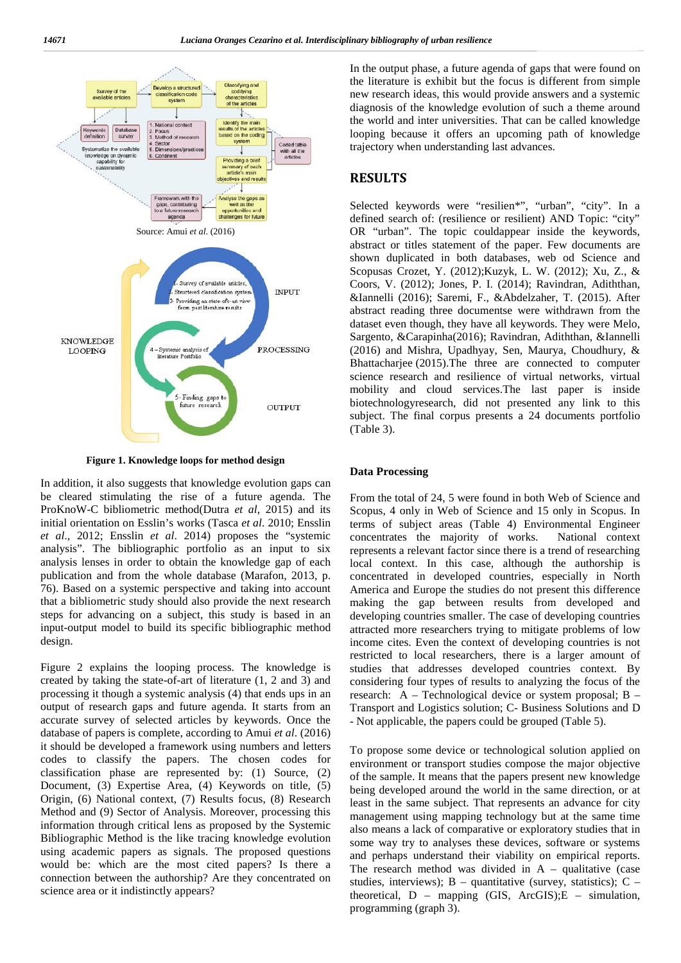

**Figure 1. Knowledge loops for method design**

In addition, it also suggests that knowledge evolution gaps can be cleared stimulating the rise of a future agenda. The ProKnoW-C bibliometric method(Dutra *et al*, 2015) and its initial orientation on Esslin's works (Tasca *et al*. 2010; Ensslin *et al*., 2012; Ensslin *et al*. 2014) proposes the "systemic analysis". The bibliographic portfolio as an input to six analysis lenses in order to obtain the knowledge gap of each publication and from the whole database (Marafon, 2013, p. 76). Based on a systemic perspective and taking into account that a bibliometric study should also provide the next research steps for advancing on a subject, this study is based in an input-output model to build its specific bibliographic method design.

Figure 2 explains the looping process. The knowledge is created by taking the state-of-art of literature (1, 2 and 3) and processing it though a systemic analysis (4) that ends ups in an output of research gaps and future agenda. It starts from an accurate survey of selected articles by keywords. Once the database of papers is complete, according to Amui *et al*. (2016) it should be developed a framework using numbers and letters codes to classify the papers. The chosen codes for classification phase are represented by: (1) Source, (2) Document, (3) Expertise Area, (4) Keywords on title, (5) Origin, (6) National context, (7) Results focus, (8) Research Method and (9) Sector of Analysis. Moreover, processing this information through critical lens as proposed by the Systemic Bibliographic Method is the like tracing knowledge evolution using academic papers as signals. The proposed questions would be: which are the most cited papers? Is there a connection between the authorship? Are they concentrated on science area or it indistinctly appears?

In the output phase, a future agenda of gaps that were found on the literature is exhibit but the focus is different from simple new research ideas, this would provide answers and a systemic diagnosis of the knowledge evolution of such a theme around the world and inter universities. That can be called knowledge looping because it offers an upcoming path of knowledge trajectory when understanding last advances.

## **RESULTS**

Selected keywords were "resilien\*", "urban", "city". In a defined search of: (resilience or resilient) AND Topic: "city" OR "urban". The topic couldappear inside the keywords, abstract or titles statement of the paper. Few documents are shown duplicated in both databases, web od Science and Scopusas Crozet, Y. (2012);Kuzyk, L. W. (2012); Xu, Z., & Coors, V. (2012); Jones, P. I. (2014); Ravindran, Adiththan, &Iannelli (2016); Saremi, F., &Abdelzaher, T. (2015). After abstract reading three documentse were withdrawn from the dataset even though, they have all keywords. They were Melo, Sargento, &Carapinha(2016); Ravindran, Adiththan, &Iannelli (2016) and Mishra, Upadhyay, Sen, Maurya, Choudhury, & Bhattacharjee (2015).The three are connected to computer science research and resilience of virtual networks, virtual mobility and cloud services.The last paper is inside biotechnologyresearch, did not presented any link to this subject. The final corpus presents a 24 documents portfolio (Table 3).

### **Data Processing**

From the total of 24, 5 were found in both Web of Science and Scopus, 4 only in Web of Science and 15 only in Scopus. In terms of subject areas (Table 4) Environmental Engineer concentrates the majority of works. National context represents a relevant factor since there is a trend of researching local context. In this case, although the authorship is concentrated in developed countries, especially in North America and Europe the studies do not present this difference making the gap between results from developed and developing countries smaller. The case of developing countries attracted more researchers trying to mitigate problems of low income cites. Even the context of developing countries is not restricted to local researchers, there is a larger amount of studies that addresses developed countries context. By considering four types of results to analyzing the focus of the research: A – Technological device or system proposal; B – Transport and Logistics solution; C- Business Solutions and D - Not applicable, the papers could be grouped (Table 5).

To propose some device or technological solution applied on environment or transport studies compose the major objective of the sample. It means that the papers present new knowledge being developed around the world in the same direction, or at least in the same subject. That represents an advance for city management using mapping technology but at the same time also means a lack of comparative or exploratory studies that in some way try to analyses these devices, software or systems and perhaps understand their viability on empirical reports. The research method was divided in  $A$  – qualitative (case studies, interviews);  $B -$  quantitative (survey, statistics);  $C$ theoretical,  $D$  – mapping (GIS, ArcGIS); $E$  – simulation, programming (graph 3).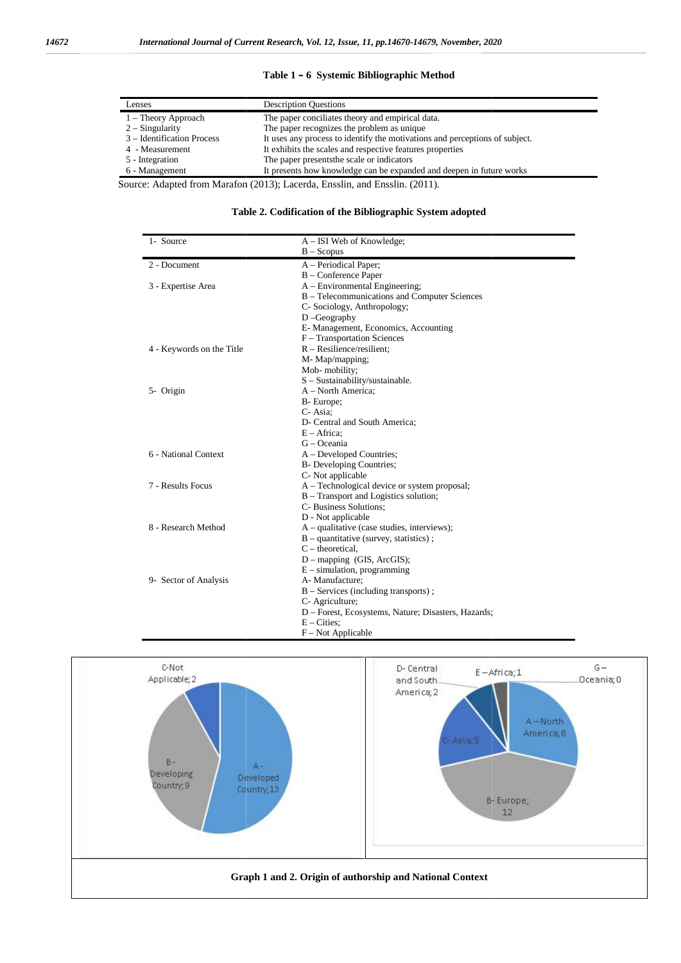### **Table 1 – 6 Systemic Bibliographic Method**

| Lenses                     | <b>Description Questions</b>                                                |
|----------------------------|-----------------------------------------------------------------------------|
| $1 -$ Theory Approach      | The paper conciliates theory and empirical data.                            |
| $2 -$ Singularity          | The paper recognizes the problem as unique.                                 |
| 3 – Identification Process | It uses any process to identify the motivations and perceptions of subject. |
| 4 - Measurement            | It exhibits the scales and respective features properties                   |
| 5 - Integration            | The paper presents the scale or indicators                                  |
| 6 - Management             | It presents how knowledge can be expanded and deepen in future works        |

Source: Adapted from Marafon (2013); Lacerda, Ensslin, and Ensslin. (2011).

| Table 2. Codification of the Bibliographic System adopted |  |  |
|-----------------------------------------------------------|--|--|
|                                                           |  |  |

| Integration<br>Management                                               | The paper presents the scale or indicators<br>It presents how knowledge can be expanded and deepen in future works |  |  |  |
|-------------------------------------------------------------------------|--------------------------------------------------------------------------------------------------------------------|--|--|--|
| ce: Adapted from Marafon (2013); Lacerda, Ensslin, and Ensslin. (2011). |                                                                                                                    |  |  |  |
|                                                                         |                                                                                                                    |  |  |  |
| Table 2. Codification of the Bibliographic System adopted               |                                                                                                                    |  |  |  |
| 1- Source                                                               | A – ISI Web of Knowledge;                                                                                          |  |  |  |
|                                                                         | $B - Scopus$                                                                                                       |  |  |  |
| 2 - Document                                                            | A - Periodical Paper;                                                                                              |  |  |  |
| 3 - Expertise Area                                                      | B - Conference Paper<br>A – Environmental Engineering;                                                             |  |  |  |
|                                                                         | B – Telecommunications and Computer Sciences                                                                       |  |  |  |
|                                                                         | C- Sociology, Anthropology;                                                                                        |  |  |  |
|                                                                         | $D - Geography$                                                                                                    |  |  |  |
|                                                                         | E- Management, Economics, Accounting                                                                               |  |  |  |
|                                                                         | F - Transportation Sciences                                                                                        |  |  |  |
| 4 - Keywords on the Title                                               | $R - Resilience/resilient;$                                                                                        |  |  |  |
|                                                                         | M-Map/mapping;                                                                                                     |  |  |  |
|                                                                         | Mob-mobility;                                                                                                      |  |  |  |
|                                                                         | S - Sustainability/sustainable.                                                                                    |  |  |  |
| 5- Origin                                                               | A - North America;                                                                                                 |  |  |  |
|                                                                         | B-Europe;                                                                                                          |  |  |  |
|                                                                         | C-Asia:                                                                                                            |  |  |  |
|                                                                         | D- Central and South America;                                                                                      |  |  |  |
|                                                                         | $E - Africa$ :                                                                                                     |  |  |  |
|                                                                         | G - Oceania                                                                                                        |  |  |  |
| 6 - National Context                                                    | A - Developed Countries;                                                                                           |  |  |  |
|                                                                         | <b>B-</b> Developing Countries;                                                                                    |  |  |  |
|                                                                         | C- Not applicable                                                                                                  |  |  |  |
| 7 - Results Focus                                                       | A – Technological device or system proposal;                                                                       |  |  |  |
|                                                                         | B – Transport and Logistics solution;                                                                              |  |  |  |
|                                                                         | C- Business Solutions;                                                                                             |  |  |  |
|                                                                         | D - Not applicable                                                                                                 |  |  |  |
| 8 - Research Method                                                     | $A$ – qualitative (case studies, interviews);                                                                      |  |  |  |
|                                                                         | $B -$ quantitative (survey, statistics);                                                                           |  |  |  |
|                                                                         | $C$ – theoretical,                                                                                                 |  |  |  |
|                                                                         | D - mapping (GIS, ArcGIS);<br>$E$ – simulation, programming                                                        |  |  |  |
| 9- Sector of Analysis                                                   | A- Manufacture:                                                                                                    |  |  |  |
|                                                                         | B - Services (including transports);                                                                               |  |  |  |
|                                                                         | C- Agriculture;                                                                                                    |  |  |  |
|                                                                         | D - Forest, Ecosystems, Nature; Disasters, Hazards;                                                                |  |  |  |
|                                                                         | $E - \text{Cities}$                                                                                                |  |  |  |
|                                                                         | $F - Not Applicable$                                                                                               |  |  |  |

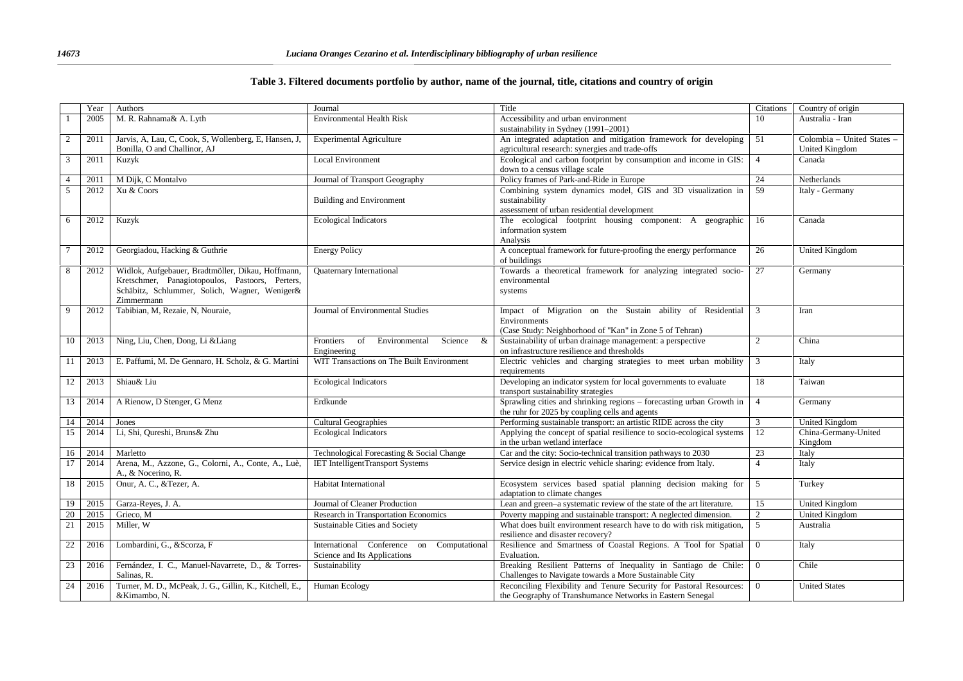### **Table 3. Filtered documents portfolio by author, name of the journal, title, citations and country of origin**

|                | Year | Authors                                                                                                                                                             | Journal                                                                   | Title                                                                                                                                  | Citations       | Country of origin                            |
|----------------|------|---------------------------------------------------------------------------------------------------------------------------------------------------------------------|---------------------------------------------------------------------------|----------------------------------------------------------------------------------------------------------------------------------------|-----------------|----------------------------------------------|
|                | 2005 | M. R. Rahnama& A. Lyth                                                                                                                                              | <b>Environmental Health Risk</b>                                          | Accessibility and urban environment<br>sustainability in Sydney (1991-2001)                                                            | 10              | Australia - Iran                             |
| $\overline{c}$ | 2011 | Jarvis, A, Lau, C, Cook, S, Wollenberg, E, Hansen, J,<br>Bonilla, O and Challinor, AJ                                                                               | <b>Experimental Agriculture</b>                                           | An integrated adaptation and mitigation framework for developing<br>agricultural research: synergies and trade-offs                    | 51              | Colombia - United States -<br>United Kingdom |
| 3              | 2011 | Kuzyk                                                                                                                                                               | <b>Local Environment</b>                                                  | Ecological and carbon footprint by consumption and income in GIS:<br>down to a census village scale                                    | $\overline{4}$  | Canada                                       |
| $\overline{4}$ | 2011 | M Dijk, C Montalvo                                                                                                                                                  | Journal of Transport Geography                                            | Policy frames of Park-and-Ride in Europe                                                                                               | 24              | Netherlands                                  |
| 5              | 2012 | Xu & Coors                                                                                                                                                          | <b>Building and Environment</b>                                           | Combining system dynamics model, GIS and 3D visualization in<br>sustainability<br>assessment of urban residential development          | 59              | Italy - Germany                              |
| 6              | 2012 | Kuzyk                                                                                                                                                               | <b>Ecological Indicators</b>                                              | The ecological footprint housing component: A geographic<br>information system<br>Analysis                                             | 16              | Canada                                       |
|                | 2012 | Georgiadou, Hacking & Guthrie                                                                                                                                       | <b>Energy Policy</b>                                                      | A conceptual framework for future-proofing the energy performance<br>of buildings                                                      | 26              | United Kingdom                               |
| 8              | 2012 | Widlok, Aufgebauer, Bradtmöller, Dikau, Hoffmann,<br>Kretschmer, Panagiotopoulos, Pastoors, Perters,<br>Schäbitz, Schlummer, Solich, Wagner, Weniger&<br>Zimmermann | <b>Ouaternary International</b>                                           | Towards a theoretical framework for analyzing integrated socio-<br>environmental<br>systems                                            | 27              | Germany                                      |
| 9              | 2012 | Tabibian, M, Rezaie, N, Nouraie,                                                                                                                                    | Journal of Environmental Studies                                          | Impact of Migration on the Sustain ability of Residential 3<br>Environments<br>(Case Study: Neighborhood of "Kan" in Zone 5 of Tehran) |                 | Iran                                         |
| 10             | 2013 | Ning, Liu, Chen, Dong, Li & Liang                                                                                                                                   | Science<br>&<br>Frontiers<br>of<br>Environmental<br>Engineering           | Sustainability of urban drainage management: a perspective<br>on infrastructure resilience and thresholds                              | $\overline{2}$  | China                                        |
| 11             | 2013 | E. Paffumi, M. De Gennaro, H. Scholz, & G. Martini                                                                                                                  | WIT Transactions on The Built Environment                                 | Electric vehicles and charging strategies to meet urban mobility<br>requirements                                                       | 3               | Italy                                        |
| 12             | 2013 | Shiau& Liu                                                                                                                                                          | <b>Ecological Indicators</b>                                              | Developing an indicator system for local governments to evaluate<br>transport sustainability strategies                                | 18              | Taiwan                                       |
| 13             | 2014 | A Rienow, D Stenger, G Menz                                                                                                                                         | Erdkunde                                                                  | Sprawling cities and shrinking regions - forecasting urban Growth in<br>the ruhr for 2025 by coupling cells and agents                 | $\overline{4}$  | Germany                                      |
| 14             | 2014 | Jones                                                                                                                                                               | Cultural Geographies                                                      | Performing sustainable transport: an artistic RIDE across the city                                                                     | 3               | United Kingdom                               |
| 15             | 2014 | Li, Shi, Qureshi, Bruns & Zhu                                                                                                                                       | <b>Ecological Indicators</b>                                              | Applying the concept of spatial resilience to socio-ecological systems<br>in the urban wetland interface                               | 12              | China-Germany-United<br>Kingdom              |
| 16             | 2014 | Marletto                                                                                                                                                            | Technological Forecasting & Social Change                                 | Car and the city: Socio-technical transition pathways to 2030                                                                          | 23              | Italy                                        |
| 17             | 2014 | Arena, M., Azzone, G., Colorni, A., Conte, A., Luè,<br>A., & Nocerino, R.                                                                                           | <b>IET IntelligentTransport Systems</b>                                   | Service design in electric vehicle sharing: evidence from Italy.                                                                       | $\overline{4}$  | Italy                                        |
| 18             | 2015 | Onur, A. C., &Tezer, A.                                                                                                                                             | Habitat International                                                     | Ecosystem services based spatial planning decision making for<br>adaptation to climate changes                                         | $5\overline{)}$ | Turkey                                       |
| 19             | 2015 | Garza-Reyes, J. A.                                                                                                                                                  | Journal of Cleaner Production                                             | Lean and green-a systematic review of the state of the art literature.                                                                 | 15              | <b>United Kingdom</b>                        |
| 20             | 2015 | Grieco, M                                                                                                                                                           | Research in Transportation Economics                                      | Poverty mapping and sustainable transport: A neglected dimension.                                                                      | $\overline{2}$  | <b>United Kingdom</b>                        |
| 21             | 2015 | Miller, W                                                                                                                                                           | Sustainable Cities and Society                                            | What does built environment research have to do with risk mitigation,<br>resilience and disaster recovery?                             | 5               | Australia                                    |
| 22             | 2016 | Lombardini, G., &Scorza, F                                                                                                                                          | International Conference on Computational<br>Science and Its Applications | Resilience and Smartness of Coastal Regions. A Tool for Spatial<br>Evaluation.                                                         | $\overline{0}$  | Italy                                        |
| 23             | 2016 | Fernández, I. C., Manuel-Navarrete, D., & Torres-<br>Salinas, R.                                                                                                    | Sustainability                                                            | Breaking Resilient Patterns of Inequality in Santiago de Chile:<br>Challenges to Navigate towards a More Sustainable City              | $\overline{0}$  | Chile                                        |
| 24             | 2016 | Turner, M. D., McPeak, J. G., Gillin, K., Kitchell, E.,<br>&Kimambo, N.                                                                                             | Human Ecology                                                             | Reconciling Flexibility and Tenure Security for Pastoral Resources:<br>the Geography of Transhumance Networks in Eastern Senegal       | $\overline{0}$  | <b>United States</b>                         |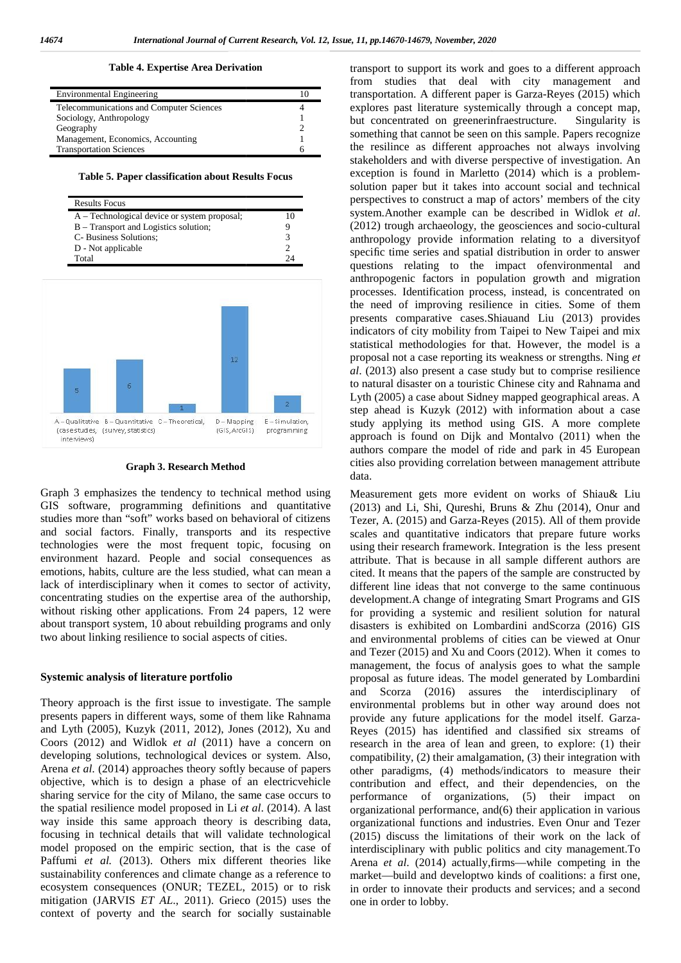#### **Table 4. Expertise Area Derivation Expertise**

| <b>Environmental Engineering</b>         |   |
|------------------------------------------|---|
| Telecommunications and Computer Sciences |   |
| Sociology, Anthropology                  |   |
| Geography                                |   |
| Management, Economics, Accounting        |   |
| <b>Transportation Sciences</b>           | h |

**Table 5. Paper classification about Results Focus**

| <b>Results Focus</b>                         |    |
|----------------------------------------------|----|
| A – Technological device or system proposal; |    |
| B – Transport and Logistics solution;        |    |
| C- Business Solutions;                       |    |
| D - Not applicable                           |    |
| Total                                        | 74 |



#### **Graph 3. Research Method Research Method**

Graph 3 emphasizes the tendency to technical method using Graph 3 emphasizes the tendency to technical method using Mear<br>GIS software, programming definitions and quantitative (20) studies more than "soft" works based on behavioral of citizens Te and social factors. Finally, transports and its respective technologies were the most frequent topic, focusing on environment hazard. People and social consequences as emotions, habits, culture are the less studied, what can mean a lack of interdisciplinary when it comes to sector of activity, and social factors. Finally, transports and its respective technologies were the most frequent topic, focusing on environment hazard. People and social consequences as emotions, habits, culture are the less studied, what c without risking other applications. From 24 papers, 12 were about transport system, 10 about rebuilding programs and only disas two about linking resilience to social aspects of cities. without risking other applications. From 24 papers, 12 were<br>about transport system, 10 about rebuilding programs and only<br>two about linking resilience to social aspects of cities.

#### **Systemic analysis of literature portfolio Systemic**

Theory approach is the first issue to investigate. The sample Theory approach is the first issue to investigate. The sample enversents papers in different ways, some of them like Rahnama prov and Lyth (2005), Kuzyk (2011, 2012), Jones (2012), Xu and and Lyth (2005), Kuzyk (2011, 2012), Jones (2012), Xu and **Reye**<br>Coors (2012) and Widlok *et al* (2011) have a concern on resea developing solutions, technological devices or system. Also, developing Arena *et al*. (2014) approaches theory softly because of papers objective, which is to design a phase of an electricvehicle sharing service for the city of Milano, the same case occurs to the spatial resilience model proposed in Li *et al*. (2014). A last way inside this same approach theory is describing data, focusing in technical details that will validate technological model proposed on the empiric section, that is the case of Paffumi *et al.* (2013). Others mix different theories like sustainability conferences and climate change as a reference to ecosystem consequences (ONUR; TEZEL, 2015) or to risk mitigation (JARVIS *ET AL*., 2011). Grieco (2015) uses the context of poverty and the search for socially sustainable

transport to support its work and goes to a different approach from studies that deal with city management and transportation. A different paper is Garza-Reyes (2015) which explores past literature systemically through a concept map, but concentrated on greenerinfraestructure. Singularity is something that cannot be seen on this sample. Papers recognize the resilince as different approaches not always involving stakeholders and with diverse perspective of investigation. An exception is found in Marletto (2014) which is a problem solution paper but it takes into account social and technical perspectives to construct a map of actors' members of the city system.Another example can be described in Widlok *et al*. (2012) trough archaeology, the geosciences and socio-cultural anthropology provide information relating to a diversityof specific time series and spatial distribution in order to answer questions relating to the impact ofenvironmental and anthropogenic factors in population growth and migration processes. Identification process, instead, is concentrated on the need of improving resilience in cities. Some of them presents comparative cases.Shiauand Liu (2013) provides indicators of city mobility from Taipei to New Taipei and mix statistical methodologies for that. However, the model is a proposal not a case reporting its weakness or strengths. Ning *et al*. (2013) also present a case study but to comprise resilience to natural disaster on a touristic Chinese city and Rahnama and Lyth (2005) a case about Sidney mapped geographical areas. A step ahead is Kuzyk (2012) with information about a case study applying its method using GIS. A more complete approach is found on Dijk and Montalvo (2011) when the authors compare the model of ride and park in 45 European step ahead is Kuzyk (2012) with information about a case<br>study applying its method using GIS. A more complete<br>approach is found on Dijk and Montalvo (2011) when the<br>authors compare the model of ride and park in 45 European data. pposal not a case reporting its weakness or strengths. Ning *et* (2013) also present a case study but to comprise resilience natural disaster on a touristic Chinese city and Rahnama and th (2005) a case about Sidney mapped

Measurement gets more evident on works of Shiau& Liu (2013) and Li, Shi, Qureshi, Bruns & Zhu (2014), Onur and Tezer, A. (2015) and Garza-Reyes (2015). All of them provide scales and quantitative indicators that prepare future works using their research framework. Integration is the less present attribute. That is because in all sample different authors are cited. It means that the papers of the sample are constructed by different line ideas that not converge to the same continuous<br>development.A change of integrating Smart Programs and GIS development.A change of integrating Smart Programs and GIS for providing a systemic and resilient solution for natural disasters is exhibited on Lombardini andScorza (2016) GIS and environmental problems of cities can be viewed at Onur and Tezer (2015) and Xu and Coors (2012). When it comes to management, the focus of analysis goes to what the sample proposal as future ideas. The model generated by Lombardini and Scorza (2016) assures the interdisciplinary of environmental problems but in other way around does not provide any future applications for the model itself. Garza- Reyes (2015) has identified and classified six streams of research in the area of lean and green, to explore: (1) their compatibility, (2) their amalgamation, (3) their integration with other paradigms, (4) methods/indicators to measure their contribution and effect, and their dependencies, on the performance of organizations, (5) their impact on organizational performance, and(6) their application in various organizational functions and industries. Even Onur and Tezer (2015) discuss the limitations of their work on the lack of contribution and effect, and their dependencies, on the<br>performance of organizations, (5) their impact on<br>organizational performance, and(6) their application in various<br>organizational functions and industries. Even Onur a Arena *et al*. (2014) actually,firms—while competing in the market—build and developtwo kinds of coalitions: a first one, in order to innovate their products and services; and a second one in order to lobby. The matrix and between the three specific energy is not in the properties of the specific energy is a specific energy of the specific energy is a specific energy is a specific energy is a specific energy is a specific ene Measurement gets more evident on works of Shiau& Liu (2013) and Li, Shi, Qureshi, Bruns & Zhu (2014), Onur and Tezer, A. (2015) and Garza-Reyes (2015). All of them provide scales and quantitative indicators that prepare fu for providing a systemic and resilient solution for natural<br>disasters is exhibited on Lombardini andScorza (2016) GIS<br>and environmental problems of cities can be viewed at Onur<br>and Tezer (2015) and Xu and Coors (2012). Whe et al. competitive all solutions and solutions and the solution of the solution of the solution of the solution of the solution of the solution of the solution of the solution of the solution of the solution of the solutio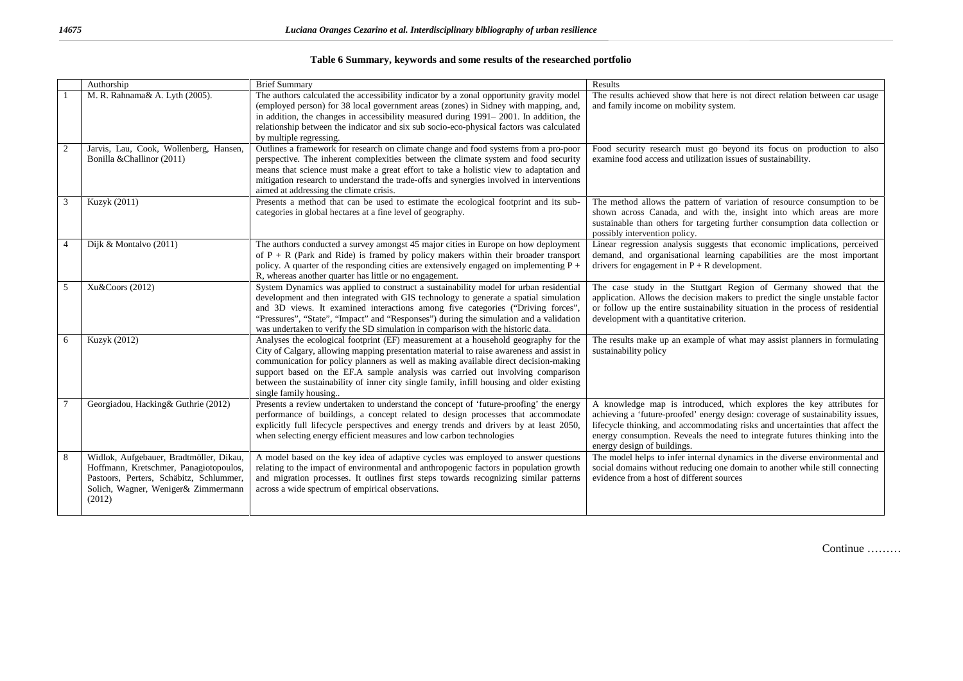|                | Authorship                                                                                                                                                                    | <b>Brief Summary</b>                                                                                                                                                                                                                                                                                                                                                                                                                                                            | Results                                                                                                                                                                                                                                                                                                                                               |
|----------------|-------------------------------------------------------------------------------------------------------------------------------------------------------------------------------|---------------------------------------------------------------------------------------------------------------------------------------------------------------------------------------------------------------------------------------------------------------------------------------------------------------------------------------------------------------------------------------------------------------------------------------------------------------------------------|-------------------------------------------------------------------------------------------------------------------------------------------------------------------------------------------------------------------------------------------------------------------------------------------------------------------------------------------------------|
|                | M. R. Rahnama& A. Lyth (2005).                                                                                                                                                | The authors calculated the accessibility indicator by a zonal opportunity gravity model<br>(employed person) for 38 local government areas (zones) in Sidney with mapping, and,<br>in addition, the changes in accessibility measured during 1991–2001. In addition, the<br>relationship between the indicator and six sub socio-eco-physical factors was calculated<br>by multiple regressing.                                                                                 | The results achieved show that here is not direct relation between car usage<br>and family income on mobility system.                                                                                                                                                                                                                                 |
| 2              | Jarvis, Lau, Cook, Wollenberg, Hansen,<br>Bonilla & Challinor (2011)                                                                                                          | Outlines a framework for research on climate change and food systems from a pro-poor<br>perspective. The inherent complexities between the climate system and food security<br>means that science must make a great effort to take a holistic view to adaptation and<br>mitigation research to understand the trade-offs and synergies involved in interventions<br>aimed at addressing the climate crisis.                                                                     | Food security research must go beyond its focus on production to also<br>examine food access and utilization issues of sustainability.                                                                                                                                                                                                                |
| 3              | Kuzyk (2011)                                                                                                                                                                  | Presents a method that can be used to estimate the ecological footprint and its sub-<br>categories in global hectares at a fine level of geography.                                                                                                                                                                                                                                                                                                                             | The method allows the pattern of variation of resource consumption to be<br>shown across Canada, and with the, insight into which areas are more<br>sustainable than others for targeting further consumption data collection or<br>possibly intervention policy.                                                                                     |
| $\overline{4}$ | Dijk & Montalvo (2011)                                                                                                                                                        | The authors conducted a survey amongst 45 major cities in Europe on how deployment<br>of $P + R$ (Park and Ride) is framed by policy makers within their broader transport<br>policy. A quarter of the responding cities are extensively engaged on implementing $P +$<br>R, whereas another quarter has little or no engagement.                                                                                                                                               | Linear regression analysis suggests that economic implications, perceived<br>demand, and organisational learning capabilities are the most important<br>drivers for engagement in $P + R$ development.                                                                                                                                                |
| 5              | Xu&Coors (2012)                                                                                                                                                               | System Dynamics was applied to construct a sustainability model for urban residential<br>development and then integrated with GIS technology to generate a spatial simulation<br>and 3D views. It examined interactions among five categories ("Driving forces",<br>"Pressures", "State", "Impact" and "Responses") during the simulation and a validation<br>was undertaken to verify the SD simulation in comparison with the historic data.                                  | The case study in the Stuttgart Region of Germany showed that the<br>application. Allows the decision makers to predict the single unstable factor<br>or follow up the entire sustainability situation in the process of residential<br>development with a quantitative criterion.                                                                    |
| 6              | Kuzyk (2012)                                                                                                                                                                  | Analyses the ecological footprint (EF) measurement at a household geography for the<br>City of Calgary, allowing mapping presentation material to raise awareness and assist in<br>communication for policy planners as well as making available direct decision-making<br>support based on the EF.A sample analysis was carried out involving comparison<br>between the sustainability of inner city single family, infill housing and older existing<br>single family housing | The results make up an example of what may assist planners in formulating<br>sustainability policy                                                                                                                                                                                                                                                    |
|                | Georgiadou, Hacking& Guthrie (2012)                                                                                                                                           | Presents a review undertaken to understand the concept of 'future-proofing' the energy<br>performance of buildings, a concept related to design processes that accommodate<br>explicitly full lifecycle perspectives and energy trends and drivers by at least 2050,<br>when selecting energy efficient measures and low carbon technologies                                                                                                                                    | A knowledge map is introduced, which explores the key attributes for<br>achieving a 'future-proofed' energy design: coverage of sustainability issues,<br>lifecycle thinking, and accommodating risks and uncertainties that affect the<br>energy consumption. Reveals the need to integrate futures thinking into the<br>energy design of buildings. |
| 8              | Widlok, Aufgebauer, Bradtmöller, Dikau,<br>Hoffmann, Kretschmer, Panagiotopoulos,<br>Pastoors, Perters, Schäbitz, Schlummer,<br>Solich, Wagner, Weniger& Zimmermann<br>(2012) | A model based on the key idea of adaptive cycles was employed to answer questions<br>relating to the impact of environmental and anthropogenic factors in population growth<br>and migration processes. It outlines first steps towards recognizing similar patterns<br>across a wide spectrum of empirical observations.                                                                                                                                                       | The model helps to infer internal dynamics in the diverse environmental and<br>social domains without reducing one domain to another while still connecting<br>evidence from a host of different sources                                                                                                                                              |

### **Table 6 Summary, keywords and some results of the researched portfolio**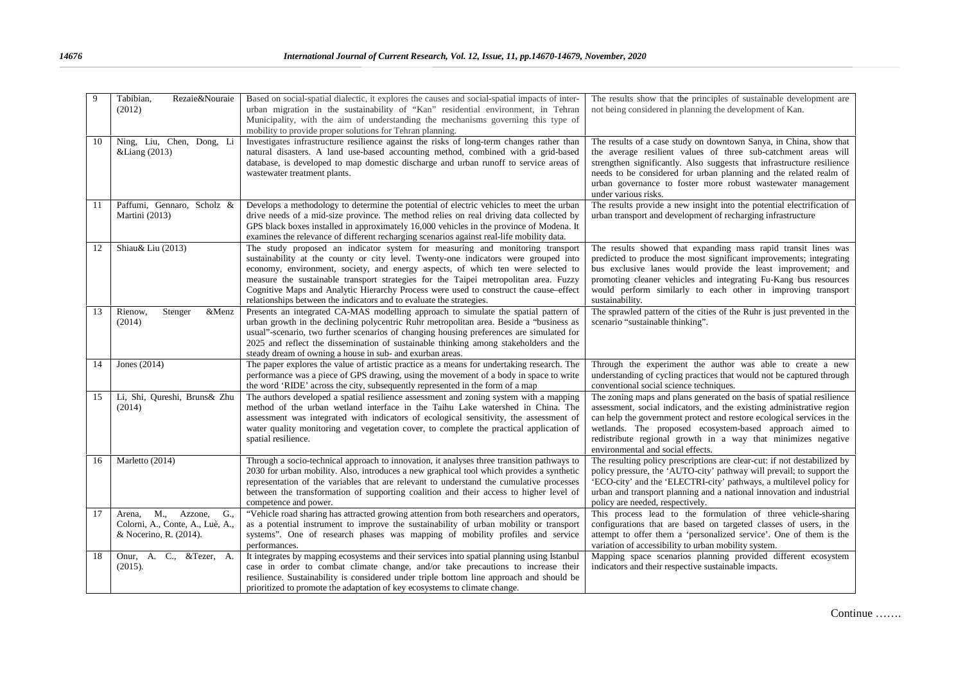| $\mathbf{Q}$ | Rezaie&Nouraie<br>Tabibian.<br>(2012)                                                      | Based on social-spatial dialectic, it explores the causes and social-spatial impacts of inter-<br>urban migration in the sustainability of "Kan" residential environment, in Tehran<br>Municipality, with the aim of understanding the mechanisms governing this type of<br>mobility to provide proper solutions for Tehran planning.                                                                                                                                                                             | The results show that the principles of sustainable development are<br>not being considered in planning the development of Kan.                                                                                                                                                                                                                                                             |
|--------------|--------------------------------------------------------------------------------------------|-------------------------------------------------------------------------------------------------------------------------------------------------------------------------------------------------------------------------------------------------------------------------------------------------------------------------------------------------------------------------------------------------------------------------------------------------------------------------------------------------------------------|---------------------------------------------------------------------------------------------------------------------------------------------------------------------------------------------------------------------------------------------------------------------------------------------------------------------------------------------------------------------------------------------|
| 10           | Ning, Liu, Chen, Dong, Li<br>&Liang (2013)                                                 | Investigates infrastructure resilience against the risks of long-term changes rather than<br>natural disasters. A land use-based accounting method, combined with a grid-based<br>database, is developed to map domestic discharge and urban runoff to service areas of<br>wastewater treatment plants.                                                                                                                                                                                                           | The results of a case study on downtown Sanya, in China, show that<br>the average resilient values of three sub-catchment areas will<br>strengthen significantly. Also suggests that infrastructure resilience<br>needs to be considered for urban planning and the related realm of<br>urban governance to foster more robust wastewater management<br>under various risks.                |
| 11           | Paffumi, Gennaro, Scholz &<br>Martini (2013)                                               | Develops a methodology to determine the potential of electric vehicles to meet the urban<br>drive needs of a mid-size province. The method relies on real driving data collected by<br>GPS black boxes installed in approximately 16,000 vehicles in the province of Modena. It<br>examines the relevance of different recharging scenarios against real-life mobility data.                                                                                                                                      | The results provide a new insight into the potential electrification of<br>urban transport and development of recharging infrastructure                                                                                                                                                                                                                                                     |
| 12           | Shiau& Liu (2013)                                                                          | The study proposed an indicator system for measuring and monitoring transport<br>sustainability at the county or city level. Twenty-one indicators were grouped into<br>economy, environment, society, and energy aspects, of which ten were selected to<br>measure the sustainable transport strategies for the Taipei metropolitan area. Fuzzy<br>Cognitive Maps and Analytic Hierarchy Process were used to construct the cause-effect<br>relationships between the indicators and to evaluate the strategies. | The results showed that expanding mass rapid transit lines was<br>predicted to produce the most significant improvements; integrating<br>bus exclusive lanes would provide the least improvement; and<br>promoting cleaner vehicles and integrating Fu-Kang bus resources<br>would perform similarly to each other in improving transport<br>sustainability.                                |
| 13           | Stenger<br>Rienow,<br>&Menz<br>(2014)                                                      | Presents an integrated CA-MAS modelling approach to simulate the spatial pattern of<br>urban growth in the declining polycentric Ruhr metropolitan area. Beside a "business as<br>usual"-scenario, two further scenarios of changing housing preferences are simulated for<br>2025 and reflect the dissemination of sustainable thinking among stakeholders and the<br>steady dream of owning a house in sub- and exurban areas.                                                                                  | The sprawled pattern of the cities of the Ruhr is just prevented in the<br>scenario "sustainable thinking".                                                                                                                                                                                                                                                                                 |
| 14           | Jones $(2014)$                                                                             | The paper explores the value of artistic practice as a means for undertaking research. The<br>performance was a piece of GPS drawing, using the movement of a body in space to write<br>the word 'RIDE' across the city, subsequently represented in the form of a map                                                                                                                                                                                                                                            | Through the experiment the author was able to create a new<br>understanding of cycling practices that would not be captured through<br>conventional social science techniques.                                                                                                                                                                                                              |
| 15           | Li, Shi, Qureshi, Bruns& Zhu<br>(2014)                                                     | The authors developed a spatial resilience assessment and zoning system with a mapping<br>method of the urban wetland interface in the Taihu Lake watershed in China. The<br>assessment was integrated with indicators of ecological sensitivity, the assessment of<br>water quality monitoring and vegetation cover, to complete the practical application of<br>spatial resilience.                                                                                                                             | The zoning maps and plans generated on the basis of spatial resilience<br>assessment, social indicators, and the existing administrative region<br>can help the government protect and restore ecological services in the<br>wetlands. The proposed ecosystem-based approach aimed to<br>redistribute regional growth in a way that minimizes negative<br>environmental and social effects. |
| 16           | Marletto (2014)                                                                            | Through a socio-technical approach to innovation, it analyses three transition pathways to<br>2030 for urban mobility. Also, introduces a new graphical tool which provides a synthetic<br>representation of the variables that are relevant to understand the cumulative processes<br>between the transformation of supporting coalition and their access to higher level of<br>competence and power.                                                                                                            | The resulting policy prescriptions are clear-cut: if not destabilized by<br>policy pressure, the 'AUTO-city' pathway will prevail; to support the<br>'ECO-city' and the 'ELECTRI-city' pathways, a multilevel policy for<br>urban and transport planning and a national innovation and industrial<br>policy are needed, respectively.                                                       |
| 17           | M., Azzone,<br>G.,<br>Arena,<br>Colorni, A., Conte, A., Luè, A.,<br>& Nocerino, R. (2014). | "Vehicle road sharing has attracted growing attention from both researchers and operators,<br>as a potential instrument to improve the sustainability of urban mobility or transport<br>systems". One of research phases was mapping of mobility profiles and service<br>performances.                                                                                                                                                                                                                            | This process lead to the formulation of three vehicle-sharing<br>configurations that are based on targeted classes of users, in the<br>attempt to offer them a 'personalized service'. One of them is the<br>variation of accessibility to urban mobility system.                                                                                                                           |
| 18           | Onur, A. C., &Tezer, A.<br>(2015).                                                         | It integrates by mapping ecosystems and their services into spatial planning using Istanbul<br>case in order to combat climate change, and/or take precautions to increase their<br>resilience. Sustainability is considered under triple bottom line approach and should be<br>prioritized to promote the adaptation of key ecosystems to climate change.                                                                                                                                                        | Mapping space scenarios planning provided different ecosystem<br>indicators and their respective sustainable impacts.                                                                                                                                                                                                                                                                       |

Continue …….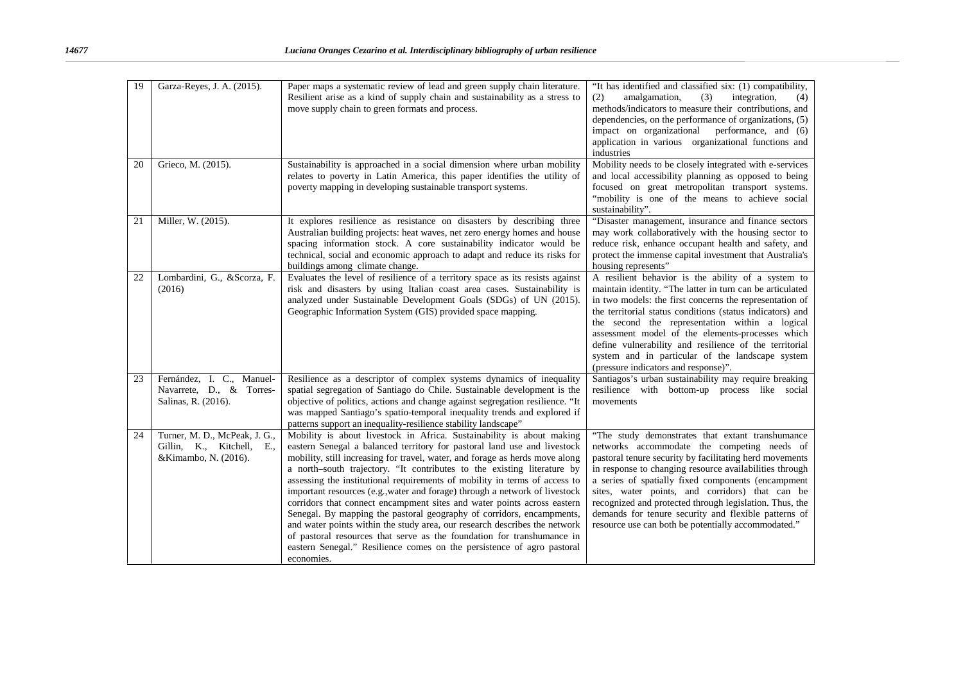| 19 | Garza-Reyes, J. A. (2015).                                                         | Paper maps a systematic review of lead and green supply chain literature.<br>Resilient arise as a kind of supply chain and sustainability as a stress to<br>move supply chain to green formats and process.                                                                                                                                                                                                                                                                                                                                                                                                                                                                                                                                                                                                                                                                   | "It has identified and classified six: (1) compatibility,<br>amalgamation,<br>(3)<br>integration,<br>(2)<br>(4)<br>methods/indicators to measure their contributions, and<br>dependencies, on the performance of organizations, (5)<br>impact on organizational<br>performance, and (6)<br>application in various organizational functions and<br>industries                                                                                                                                             |
|----|------------------------------------------------------------------------------------|-------------------------------------------------------------------------------------------------------------------------------------------------------------------------------------------------------------------------------------------------------------------------------------------------------------------------------------------------------------------------------------------------------------------------------------------------------------------------------------------------------------------------------------------------------------------------------------------------------------------------------------------------------------------------------------------------------------------------------------------------------------------------------------------------------------------------------------------------------------------------------|----------------------------------------------------------------------------------------------------------------------------------------------------------------------------------------------------------------------------------------------------------------------------------------------------------------------------------------------------------------------------------------------------------------------------------------------------------------------------------------------------------|
| 20 | Grieco, M. (2015).                                                                 | Sustainability is approached in a social dimension where urban mobility<br>relates to poverty in Latin America, this paper identifies the utility of<br>poverty mapping in developing sustainable transport systems.                                                                                                                                                                                                                                                                                                                                                                                                                                                                                                                                                                                                                                                          | Mobility needs to be closely integrated with e-services<br>and local accessibility planning as opposed to being<br>focused on great metropolitan transport systems.<br>"mobility is one of the means to achieve social<br>sustainability".                                                                                                                                                                                                                                                               |
| 21 | Miller, W. (2015).                                                                 | It explores resilience as resistance on disasters by describing three<br>Australian building projects: heat waves, net zero energy homes and house<br>spacing information stock. A core sustainability indicator would be<br>technical, social and economic approach to adapt and reduce its risks for<br>buildings among climate change.                                                                                                                                                                                                                                                                                                                                                                                                                                                                                                                                     | "Disaster management, insurance and finance sectors<br>may work collaboratively with the housing sector to<br>reduce risk, enhance occupant health and safety, and<br>protect the immense capital investment that Australia's<br>housing represents"                                                                                                                                                                                                                                                     |
| 22 | Lombardini, G., &Scorza, F.<br>(2016)                                              | Evaluates the level of resilience of a territory space as its resists against<br>risk and disasters by using Italian coast area cases. Sustainability is<br>analyzed under Sustainable Development Goals (SDGs) of UN (2015).<br>Geographic Information System (GIS) provided space mapping.                                                                                                                                                                                                                                                                                                                                                                                                                                                                                                                                                                                  | A resilient behavior is the ability of a system to<br>maintain identity. "The latter in turn can be articulated<br>in two models: the first concerns the representation of<br>the territorial status conditions (status indicators) and<br>the second the representation within a logical<br>assessment model of the elements-processes which<br>define vulnerability and resilience of the territorial<br>system and in particular of the landscape system<br>(pressure indicators and response)".      |
| 23 | Fernández, I. C., Manuel-<br>Navarrete, D., & Torres-<br>Salinas, R. (2016).       | Resilience as a descriptor of complex systems dynamics of inequality<br>spatial segregation of Santiago do Chile. Sustainable development is the<br>objective of politics, actions and change against segregation resilience. "It<br>was mapped Santiago's spatio-temporal inequality trends and explored if<br>patterns support an inequality-resilience stability landscape"                                                                                                                                                                                                                                                                                                                                                                                                                                                                                                | Santiagos's urban sustainability may require breaking<br>resilience with bottom-up process like social<br>movements                                                                                                                                                                                                                                                                                                                                                                                      |
| 24 | Turner, M. D., McPeak, J. G.,<br>Gillin, K., Kitchell, E.,<br>&Kimambo, N. (2016). | Mobility is about livestock in Africa. Sustainability is about making<br>eastern Senegal a balanced territory for pastoral land use and livestock<br>mobility, still increasing for travel, water, and forage as herds move along<br>a north-south trajectory. "It contributes to the existing literature by<br>assessing the institutional requirements of mobility in terms of access to<br>important resources (e.g., water and forage) through a network of livestock<br>corridors that connect encampment sites and water points across eastern<br>Senegal. By mapping the pastoral geography of corridors, encampments,<br>and water points within the study area, our research describes the network<br>of pastoral resources that serve as the foundation for transhumance in<br>eastern Senegal." Resilience comes on the persistence of agro pastoral<br>economies. | "The study demonstrates that extant transhumance<br>networks accommodate the competing needs of<br>pastoral tenure security by facilitating herd movements<br>in response to changing resource availabilities through<br>a series of spatially fixed components (encampment<br>sites, water points, and corridors) that can be<br>recognized and protected through legislation. Thus, the<br>demands for tenure security and flexible patterns of<br>resource use can both be potentially accommodated." |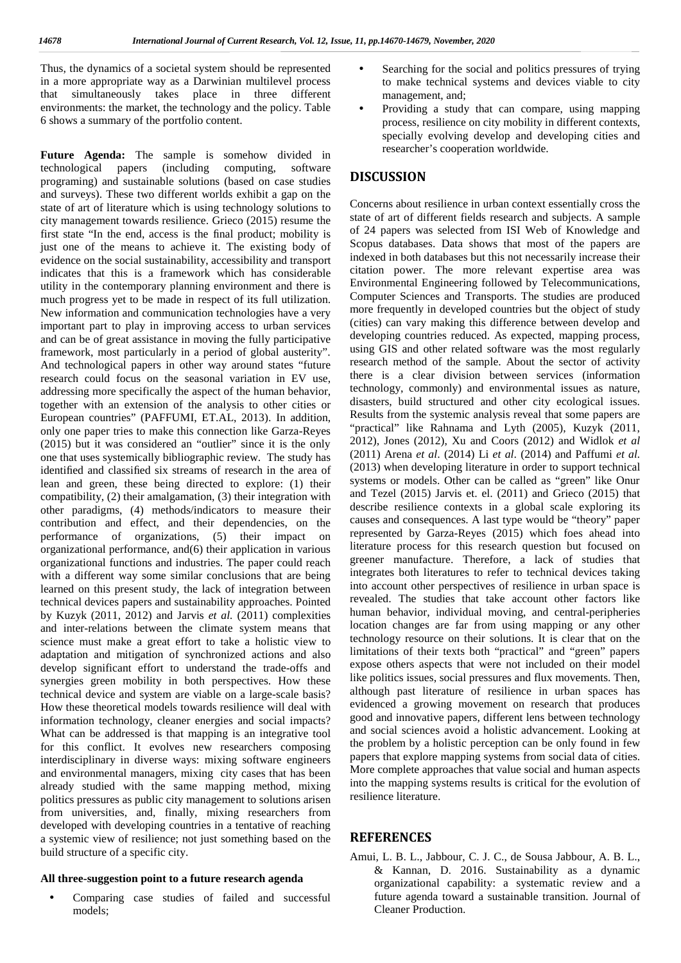Thus, the dynamics of a societal system should be represented in a more appropriate way as a Darwinian multilevel process that simultaneously takes place in three different environments: the market, the technology and the policy. Table 6 shows a summary of the portfolio content.

**Future Agenda:** The sample is somehow divided in technological papers (including computing, software programing) and sustainable solutions (based on case studies and surveys). These two different worlds exhibit a gap on the state of art of literature which is using technology solutions to city management towards resilience. Grieco (2015) resume the first state "In the end, access is the final product; mobility is just one of the means to achieve it. The existing body of evidence on the social sustainability, accessibility and transport indicates that this is a framework which has considerable utility in the contemporary planning environment and there is much progress yet to be made in respect of its full utilization. New information and communication technologies have a very important part to play in improving access to urban services and can be of great assistance in moving the fully participative framework, most particularly in a period of global austerity". And technological papers in other way around states "future research could focus on the seasonal variation in EV use, addressing more specifically the aspect of the human behavior, together with an extension of the analysis to other cities or European countries" (PAFFUMI, ET.AL, 2013). In addition, only one paper tries to make this connection like Garza-Reyes (2015) but it was considered an "outlier" since it is the only one that uses systemically bibliographic review. The study has identified and classified six streams of research in the area of lean and green, these being directed to explore: (1) their compatibility, (2) their amalgamation, (3) their integration with other paradigms, (4) methods/indicators to measure their contribution and effect, and their dependencies, on the performance of organizations, (5) their impact on organizational performance, and(6) their application in various organizational functions and industries. The paper could reach with a different way some similar conclusions that are being learned on this present study, the lack of integration between technical devices papers and sustainability approaches. Pointed by Kuzyk (2011, 2012) and Jarvis *et al.* (2011) complexities and inter-relations between the climate system means that science must make a great effort to take a holistic view to adaptation and mitigation of synchronized actions and also develop significant effort to understand the trade-offs and synergies green mobility in both perspectives. How these technical device and system are viable on a large-scale basis? How these theoretical models towards resilience will deal with information technology, cleaner energies and social impacts? What can be addressed is that mapping is an integrative tool for this conflict. It evolves new researchers composing interdisciplinary in diverse ways: mixing software engineers and environmental managers, mixing city cases that has been already studied with the same mapping method, mixing politics pressures as public city management to solutions arisen from universities, and, finally, mixing researchers from developed with developing countries in a tentative of reaching a systemic view of resilience; not just something based on the build structure of a specific city.

#### **All three-suggestion point to a future research agenda**

 Comparing case studies of failed and successful models;

- Searching for the social and politics pressures of trying to make technical systems and devices viable to city management, and;
- Providing a study that can compare, using mapping process, resilience on city mobility in different contexts, specially evolving develop and developing cities and researcher's cooperation worldwide.

## **DISCUSSION**

Concerns about resilience in urban context essentially cross the state of art of different fields research and subjects. A sample of 24 papers was selected from ISI Web of Knowledge and Scopus databases. Data shows that most of the papers are indexed in both databases but this not necessarily increase their citation power. The more relevant expertise area was Environmental Engineering followed by Telecommunications, Computer Sciences and Transports. The studies are produced more frequently in developed countries but the object of study (cities) can vary making this difference between develop and developing countries reduced. As expected, mapping process, using GIS and other related software was the most regularly research method of the sample. About the sector of activity there is a clear division between services (information technology, commonly) and environmental issues as nature, disasters, build structured and other city ecological issues. Results from the systemic analysis reveal that some papers are "practical" like Rahnama and Lyth (2005), Kuzyk (2011, 2012), Jones (2012), Xu and Coors (2012) and Widlok *et al* (2011) Arena *et al*. (2014) Li *et al*. (2014) and Paffumi *et al.* (2013) when developing literature in order to support technical systems or models. Other can be called as "green" like Onur and Tezel (2015) Jarvis et. el. (2011) and Grieco (2015) that describe resilience contexts in a global scale exploring its causes and consequences. A last type would be "theory" paper represented by Garza-Reyes (2015) which foes ahead into literature process for this research question but focused on greener manufacture. Therefore, a lack of studies that integrates both literatures to refer to technical devices taking into account other perspectives of resilience in urban space is revealed. The studies that take account other factors like human behavior, individual moving, and central-peripheries location changes are far from using mapping or any other technology resource on their solutions. It is clear that on the limitations of their texts both "practical" and "green" papers expose others aspects that were not included on their model like politics issues, social pressures and flux movements. Then, although past literature of resilience in urban spaces has evidenced a growing movement on research that produces good and innovative papers, different lens between technology and social sciences avoid a holistic advancement. Looking at the problem by a holistic perception can be only found in few papers that explore mapping systems from social data of cities. More complete approaches that value social and human aspects into the mapping systems results is critical for the evolution of resilience literature.

## **REFERENCES**

Amui, L. B. L., Jabbour, C. J. C., de Sousa Jabbour, A. B. L., & Kannan, D. 2016. Sustainability as a dynamic organizational capability: a systematic review and a future agenda toward a sustainable transition. Journal of Cleaner Production.